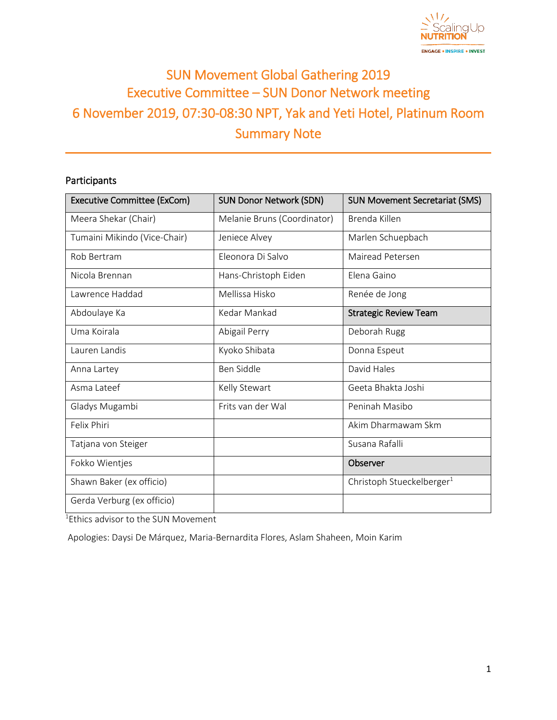

# SUN Movement Global Gathering 2019 Executive Committee – SUN Donor Network meeting 6 November 2019, 07:30-08:30 NPT, Yak and Yeti Hotel, Platinum Room Summary Note

## Participants

| <b>Executive Committee (ExCom)</b> | <b>SUN Donor Network (SDN)</b> | <b>SUN Movement Secretariat (SMS)</b> |  |
|------------------------------------|--------------------------------|---------------------------------------|--|
| Meera Shekar (Chair)               | Melanie Bruns (Coordinator)    | Brenda Killen                         |  |
| Tumaini Mikindo (Vice-Chair)       | Jeniece Alvey                  | Marlen Schuepbach                     |  |
| Rob Bertram                        | Eleonora Di Salvo              | Mairead Petersen                      |  |
| Nicola Brennan                     | Hans-Christoph Eiden           | Elena Gaino                           |  |
| Lawrence Haddad                    | Mellissa Hisko                 | Renée de Jong                         |  |
| Abdoulaye Ka                       | Kedar Mankad                   | <b>Strategic Review Team</b>          |  |
| Uma Koirala                        | Abigail Perry                  | Deborah Rugg                          |  |
| Lauren Landis                      | Kyoko Shibata                  | Donna Espeut                          |  |
| Anna Lartey                        | Ben Siddle                     | David Hales                           |  |
| Asma Lateef                        | Kelly Stewart                  | Geeta Bhakta Joshi                    |  |
| Gladys Mugambi                     | Frits van der Wal              | Peninah Masibo                        |  |
| Felix Phiri                        |                                | Akim Dharmawam Skm                    |  |
| Tatjana von Steiger                |                                | Susana Rafalli                        |  |
| Fokko Wientjes                     |                                | Observer                              |  |
| Shawn Baker (ex officio)           |                                | Christoph Stueckelberger <sup>1</sup> |  |
| Gerda Verburg (ex officio)         |                                |                                       |  |

<sup>1</sup>Ethics advisor to the SUN Movement

Apologies: Daysi De Márquez, Maria-Bernardita Flores, Aslam Shaheen, Moin Karim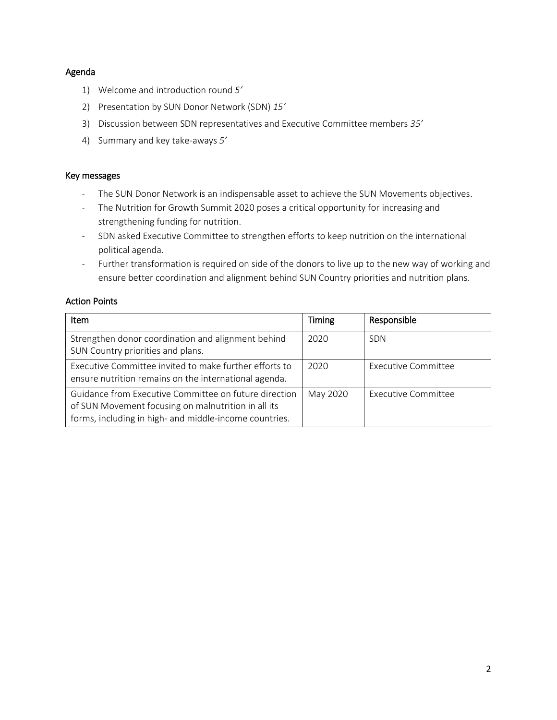## Agenda

- 1) Welcome and introduction round *5'*
- 2) Presentation by SUN Donor Network (SDN) *15'*
- 3) Discussion between SDN representatives and Executive Committee members *35'*
- 4) Summary and key take-aways *5'*

## Key messages

- The SUN Donor Network is an indispensable asset to achieve the SUN Movements objectives.
- The Nutrition for Growth Summit 2020 poses a critical opportunity for increasing and strengthening funding for nutrition.
- SDN asked Executive Committee to strengthen efforts to keep nutrition on the international political agenda.
- Further transformation is required on side of the donors to live up to the new way of working and ensure better coordination and alignment behind SUN Country priorities and nutrition plans.

## Action Points

| <b>Item</b>                                                                                                                                                            | <b>Timing</b> | Responsible                |
|------------------------------------------------------------------------------------------------------------------------------------------------------------------------|---------------|----------------------------|
| Strengthen donor coordination and alignment behind<br>SUN Country priorities and plans.                                                                                | 2020          | <b>SDN</b>                 |
| Executive Committee invited to make further efforts to<br>ensure nutrition remains on the international agenda.                                                        | 2020          | <b>Executive Committee</b> |
| Guidance from Executive Committee on future direction<br>of SUN Movement focusing on malnutrition in all its<br>forms, including in high- and middle-income countries. | May 2020      | Executive Committee        |